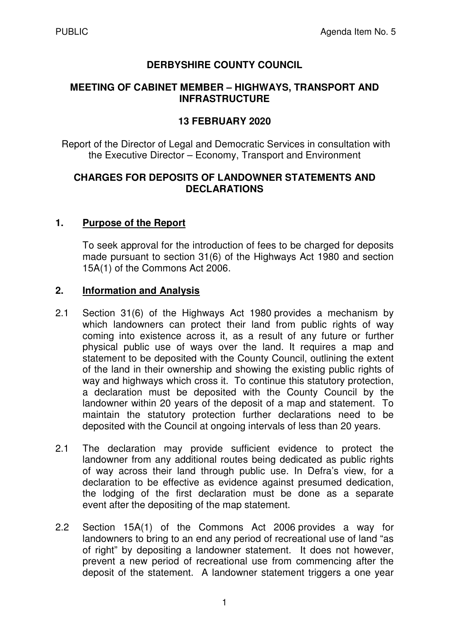# **DERBYSHIRE COUNTY COUNCIL**

### **MEETING OF CABINET MEMBER – HIGHWAYS, TRANSPORT AND INFRASTRUCTURE**

### **13 FEBRUARY 2020**

Report of the Director of Legal and Democratic Services in consultation with the Executive Director – Economy, Transport and Environment

### **CHARGES FOR DEPOSITS OF LANDOWNER STATEMENTS AND DECLARATIONS**

### **1. Purpose of the Report**

To seek approval for the introduction of fees to be charged for deposits made pursuant to section 31(6) of the Highways Act 1980 and section 15A(1) of the Commons Act 2006.

### **2. Information and Analysis**

- 2.1 Section 31(6) of the Highways Act 1980 provides a mechanism by which landowners can protect their land from public rights of way coming into existence across it, as a result of any future or further physical public use of ways over the land. It requires a map and statement to be deposited with the County Council, outlining the extent of the land in their ownership and showing the existing public rights of way and highways which cross it. To continue this statutory protection, a declaration must be deposited with the County Council by the landowner within 20 years of the deposit of a map and statement. To maintain the statutory protection further declarations need to be deposited with the Council at ongoing intervals of less than 20 years.
- 2.1 The declaration may provide sufficient evidence to protect the landowner from any additional routes being dedicated as public rights of way across their land through public use. In Defra's view, for a declaration to be effective as evidence against presumed dedication, the lodging of the first declaration must be done as a separate event after the depositing of the map statement.
- 2.2 Section 15A(1) of the Commons Act 2006 provides a way for landowners to bring to an end any period of recreational use of land "as of right" by depositing a landowner statement. It does not however, prevent a new period of recreational use from commencing after the deposit of the statement. A landowner statement triggers a one year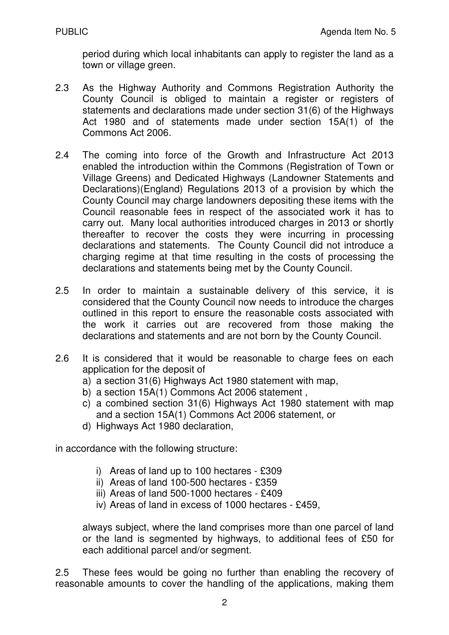period during which local inhabitants can apply to register the land as a town or village green.

- 2.3 As the Highway Authority and Commons Registration Authority the County Council is obliged to maintain a register or registers of statements and declarations made under section 31(6) of the Highways Act 1980 and of statements made under section 15A(1) of the Commons Act 2006.
- 2.4 The coming into force of the Growth and Infrastructure Act 2013 enabled the introduction within the Commons (Registration of Town or Village Greens) and Dedicated Highways (Landowner Statements and Declarations)(England) Regulations 2013 of a provision by which the County Council may charge landowners depositing these items with the Council reasonable fees in respect of the associated work it has to carry out. Many local authorities introduced charges in 2013 or shortly thereafter to recover the costs they were incurring in processing declarations and statements. The County Council did not introduce a charging regime at that time resulting in the costs of processing the declarations and statements being met by the County Council.
- 2.5 In order to maintain a sustainable delivery of this service, it is considered that the County Council now needs to introduce the charges outlined in this report to ensure the reasonable costs associated with the work it carries out are recovered from those making the declarations and statements and are not born by the County Council.
- 2.6 It is considered that it would be reasonable to charge fees on each application for the deposit of
	- a) a section 31(6) Highways Act 1980 statement with map,
	- b) a section 15A(1) Commons Act 2006 statement ,
	- c) a combined section 31(6) Highways Act 1980 statement with map and a section 15A(1) Commons Act 2006 statement, or
	- d) Highways Act 1980 declaration,

in accordance with the following structure:

- i) Areas of land up to 100 hectares £309
- ii) Areas of land 100-500 hectares £359
- iii) Areas of land 500-1000 hectares £409
- iv) Areas of land in excess of 1000 hectares £459,

always subject, where the land comprises more than one parcel of land or the land is segmented by highways, to additional fees of £50 for each additional parcel and/or segment.

2.5 These fees would be going no further than enabling the recovery of reasonable amounts to cover the handling of the applications, making them